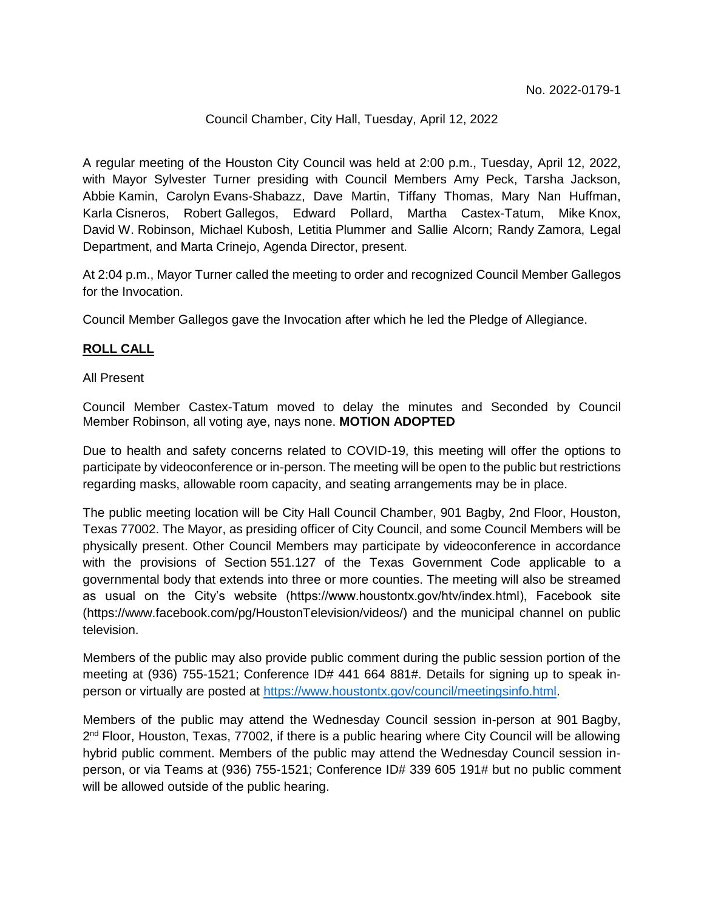#### Council Chamber, City Hall, Tuesday, April 12, 2022

A regular meeting of the Houston City Council was held at 2:00 p.m., Tuesday, April 12, 2022, with Mayor Sylvester Turner presiding with Council Members Amy Peck, Tarsha Jackson, Abbie Kamin, Carolyn Evans-Shabazz, Dave Martin, Tiffany Thomas, Mary Nan Huffman, Karla Cisneros, Robert Gallegos, Edward Pollard, Martha Castex-Tatum, Mike Knox, David W. Robinson, Michael Kubosh, Letitia Plummer and Sallie Alcorn; Randy Zamora, Legal Department, and Marta Crinejo, Agenda Director, present.

At 2:04 p.m., Mayor Turner called the meeting to order and recognized Council Member Gallegos for the Invocation.

Council Member Gallegos gave the Invocation after which he led the Pledge of Allegiance.

## **ROLL CALL**

#### All Present

Council Member Castex-Tatum moved to delay the minutes and Seconded by Council Member Robinson, all voting aye, nays none. **MOTION ADOPTED**

Due to health and safety concerns related to COVID-19, this meeting will offer the options to participate by videoconference or in-person. The meeting will be open to the public but restrictions regarding masks, allowable room capacity, and seating arrangements may be in place.

The public meeting location will be City Hall Council Chamber, 901 Bagby, 2nd Floor, Houston, Texas 77002. The Mayor, as presiding officer of City Council, and some Council Members will be physically present. Other Council Members may participate by videoconference in accordance with the provisions of Section 551.127 of the Texas Government Code applicable to a governmental body that extends into three or more counties. The meeting will also be streamed as usual on the City's website (https://www.houstontx.gov/htv/index.html), Facebook site (https://www.facebook.com/pg/HoustonTelevision/videos/) and the municipal channel on public television.

Members of the public may also provide public comment during the public session portion of the meeting at (936) 755-1521; Conference ID# 441 664 881#. Details for signing up to speak inperson or virtually are posted at [https://www.houstontx.gov/council/meetingsinfo.html.](https://www.houstontx.gov/council/meetingsinfo.html)

Members of the public may attend the Wednesday Council session in-person at 901 Bagby, 2<sup>nd</sup> Floor, Houston, Texas, 77002, if there is a public hearing where City Council will be allowing hybrid public comment. Members of the public may attend the Wednesday Council session inperson, or via Teams at (936) 755-1521; Conference ID# 339 605 191# but no public comment will be allowed outside of the public hearing.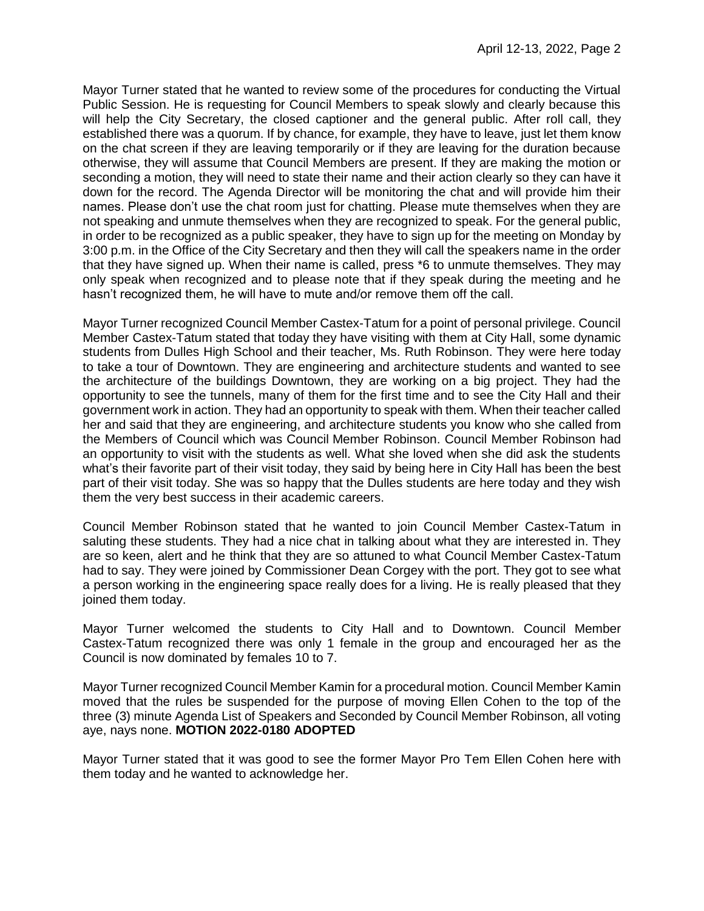Mayor Turner stated that he wanted to review some of the procedures for conducting the Virtual Public Session. He is requesting for Council Members to speak slowly and clearly because this will help the City Secretary, the closed captioner and the general public. After roll call, they established there was a quorum. If by chance, for example, they have to leave, just let them know on the chat screen if they are leaving temporarily or if they are leaving for the duration because otherwise, they will assume that Council Members are present. If they are making the motion or seconding a motion, they will need to state their name and their action clearly so they can have it down for the record. The Agenda Director will be monitoring the chat and will provide him their names. Please don't use the chat room just for chatting. Please mute themselves when they are not speaking and unmute themselves when they are recognized to speak. For the general public, in order to be recognized as a public speaker, they have to sign up for the meeting on Monday by 3:00 p.m. in the Office of the City Secretary and then they will call the speakers name in the order that they have signed up. When their name is called, press \*6 to unmute themselves. They may only speak when recognized and to please note that if they speak during the meeting and he hasn't recognized them, he will have to mute and/or remove them off the call.

Mayor Turner recognized Council Member Castex-Tatum for a point of personal privilege. Council Member Castex-Tatum stated that today they have visiting with them at City Hall, some dynamic students from Dulles High School and their teacher, Ms. Ruth Robinson. They were here today to take a tour of Downtown. They are engineering and architecture students and wanted to see the architecture of the buildings Downtown, they are working on a big project. They had the opportunity to see the tunnels, many of them for the first time and to see the City Hall and their government work in action. They had an opportunity to speak with them. When their teacher called her and said that they are engineering, and architecture students you know who she called from the Members of Council which was Council Member Robinson. Council Member Robinson had an opportunity to visit with the students as well. What she loved when she did ask the students what's their favorite part of their visit today, they said by being here in City Hall has been the best part of their visit today. She was so happy that the Dulles students are here today and they wish them the very best success in their academic careers.

Council Member Robinson stated that he wanted to join Council Member Castex-Tatum in saluting these students. They had a nice chat in talking about what they are interested in. They are so keen, alert and he think that they are so attuned to what Council Member Castex-Tatum had to say. They were joined by Commissioner Dean Corgey with the port. They got to see what a person working in the engineering space really does for a living. He is really pleased that they joined them today.

Mayor Turner welcomed the students to City Hall and to Downtown. Council Member Castex-Tatum recognized there was only 1 female in the group and encouraged her as the Council is now dominated by females 10 to 7.

Mayor Turner recognized Council Member Kamin for a procedural motion. Council Member Kamin moved that the rules be suspended for the purpose of moving Ellen Cohen to the top of the three (3) minute Agenda List of Speakers and Seconded by Council Member Robinson, all voting aye, nays none. **MOTION 2022-0180 ADOPTED** 

Mayor Turner stated that it was good to see the former Mayor Pro Tem Ellen Cohen here with them today and he wanted to acknowledge her.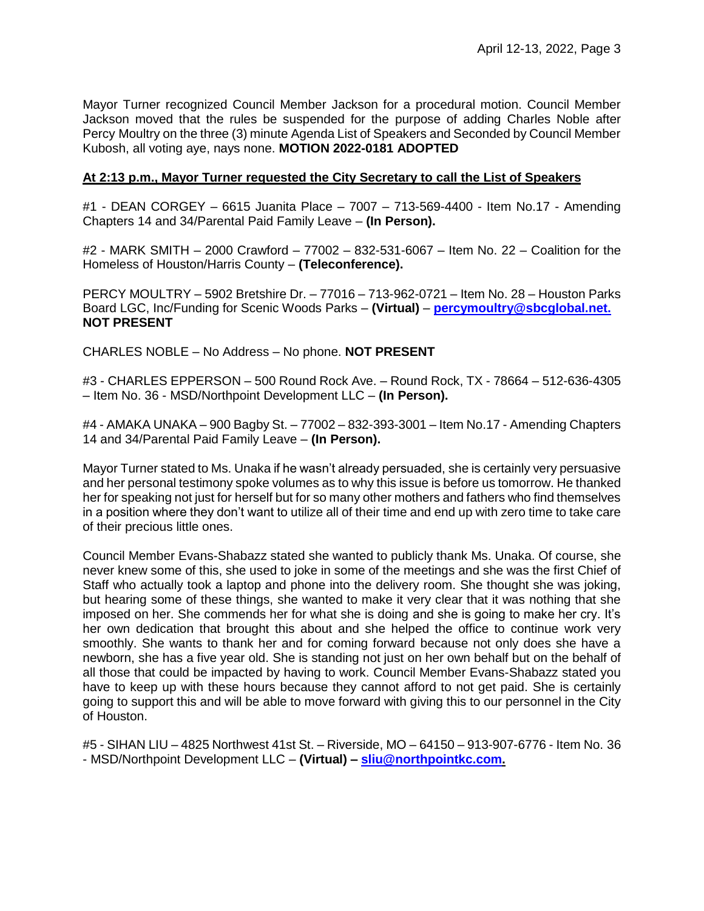Mayor Turner recognized Council Member Jackson for a procedural motion. Council Member Jackson moved that the rules be suspended for the purpose of adding Charles Noble after Percy Moultry on the three (3) minute Agenda List of Speakers and Seconded by Council Member Kubosh, all voting aye, nays none. **MOTION 2022-0181 ADOPTED**

#### **At 2:13 p.m., Mayor Turner requested the City Secretary to call the List of Speakers**

#1 - DEAN CORGEY – 6615 Juanita Place – 7007 – 713-569-4400 - Item No.17 - Amending Chapters 14 and 34/Parental Paid Family Leave – **(In Person).**

#2 - MARK SMITH – 2000 Crawford – 77002 – 832-531-6067 – Item No. 22 – Coalition for the Homeless of Houston/Harris County – **(Teleconference).**

PERCY MOULTRY – 5902 Bretshire Dr. – 77016 – 713-962-0721 – Item No. 28 – Houston Parks Board LGC, Inc/Funding for Scenic Woods Parks – **(Virtual)** – **[percymoultry@sbcglobal.net.](mailto:percymoultry@sbcglobal.net) NOT PRESENT**

CHARLES NOBLE – No Address – No phone. **NOT PRESENT**

#3 - CHARLES EPPERSON – 500 Round Rock Ave. – Round Rock, TX - 78664 – 512-636-4305 – Item No. 36 - MSD/Northpoint Development LLC – **(In Person).**

#4 - AMAKA UNAKA – 900 Bagby St. – 77002 – 832-393-3001 – Item No.17 - Amending Chapters 14 and 34/Parental Paid Family Leave – **(In Person).**

Mayor Turner stated to Ms. Unaka if he wasn't already persuaded, she is certainly very persuasive and her personal testimony spoke volumes as to why this issue is before us tomorrow. He thanked her for speaking not just for herself but for so many other mothers and fathers who find themselves in a position where they don't want to utilize all of their time and end up with zero time to take care of their precious little ones.

Council Member Evans-Shabazz stated she wanted to publicly thank Ms. Unaka. Of course, she never knew some of this, she used to joke in some of the meetings and she was the first Chief of Staff who actually took a laptop and phone into the delivery room. She thought she was joking, but hearing some of these things, she wanted to make it very clear that it was nothing that she imposed on her. She commends her for what she is doing and she is going to make her cry. It's her own dedication that brought this about and she helped the office to continue work very smoothly. She wants to thank her and for coming forward because not only does she have a newborn, she has a five year old. She is standing not just on her own behalf but on the behalf of all those that could be impacted by having to work. Council Member Evans-Shabazz stated you have to keep up with these hours because they cannot afford to not get paid. She is certainly going to support this and will be able to move forward with giving this to our personnel in the City of Houston.

#5 - SIHAN LIU – 4825 Northwest 41st St. – Riverside, MO – 64150 – 913-907-6776 - Item No. 36 - MSD/Northpoint Development LLC – **(Virtual) – [sliu@northpointkc.com.](mailto:sliu@northpointkc.com)**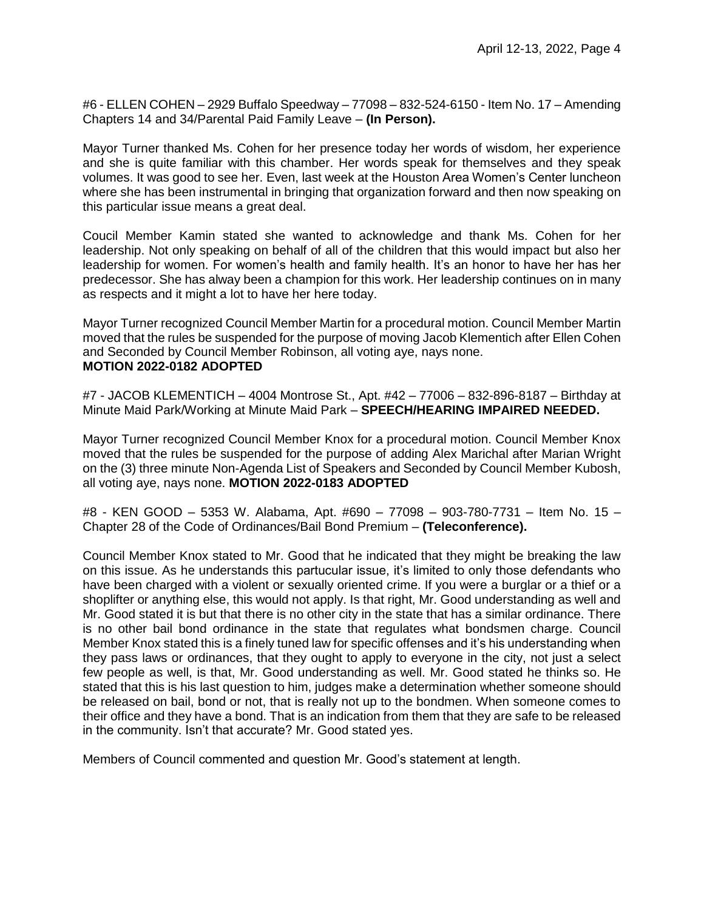#6 - ELLEN COHEN – 2929 Buffalo Speedway – 77098 – 832-524-6150 - Item No. 17 – Amending Chapters 14 and 34/Parental Paid Family Leave – **(In Person).**

Mayor Turner thanked Ms. Cohen for her presence today her words of wisdom, her experience and she is quite familiar with this chamber. Her words speak for themselves and they speak volumes. It was good to see her. Even, last week at the Houston Area Women's Center luncheon where she has been instrumental in bringing that organization forward and then now speaking on this particular issue means a great deal.

Coucil Member Kamin stated she wanted to acknowledge and thank Ms. Cohen for her leadership. Not only speaking on behalf of all of the children that this would impact but also her leadership for women. For women's health and family health. It's an honor to have her has her predecessor. She has alway been a champion for this work. Her leadership continues on in many as respects and it might a lot to have her here today.

Mayor Turner recognized Council Member Martin for a procedural motion. Council Member Martin moved that the rules be suspended for the purpose of moving Jacob Klementich after Ellen Cohen and Seconded by Council Member Robinson, all voting aye, nays none. **MOTION 2022-0182 ADOPTED** 

#7 - JACOB KLEMENTICH – 4004 Montrose St., Apt. #42 – 77006 – 832-896-8187 – Birthday at Minute Maid Park/Working at Minute Maid Park – **SPEECH/HEARING IMPAIRED NEEDED.**

Mayor Turner recognized Council Member Knox for a procedural motion. Council Member Knox moved that the rules be suspended for the purpose of adding Alex Marichal after Marian Wright on the (3) three minute Non-Agenda List of Speakers and Seconded by Council Member Kubosh, all voting aye, nays none. **MOTION 2022-0183 ADOPTED**

#8 - KEN GOOD – 5353 W. Alabama, Apt. #690 – 77098 – 903-780-7731 – Item No. 15 – Chapter 28 of the Code of Ordinances/Bail Bond Premium – **(Teleconference).**

Council Member Knox stated to Mr. Good that he indicated that they might be breaking the law on this issue. As he understands this partucular issue, it's limited to only those defendants who have been charged with a violent or sexually oriented crime. If you were a burglar or a thief or a shoplifter or anything else, this would not apply. Is that right, Mr. Good understanding as well and Mr. Good stated it is but that there is no other city in the state that has a similar ordinance. There is no other bail bond ordinance in the state that regulates what bondsmen charge. Council Member Knox stated this is a finely tuned law for specific offenses and it's his understanding when they pass laws or ordinances, that they ought to apply to everyone in the city, not just a select few people as well, is that, Mr. Good understanding as well. Mr. Good stated he thinks so. He stated that this is his last question to him, judges make a determination whether someone should be released on bail, bond or not, that is really not up to the bondmen. When someone comes to their office and they have a bond. That is an indication from them that they are safe to be released in the community. Isn't that accurate? Mr. Good stated yes.

Members of Council commented and question Mr. Good's statement at length.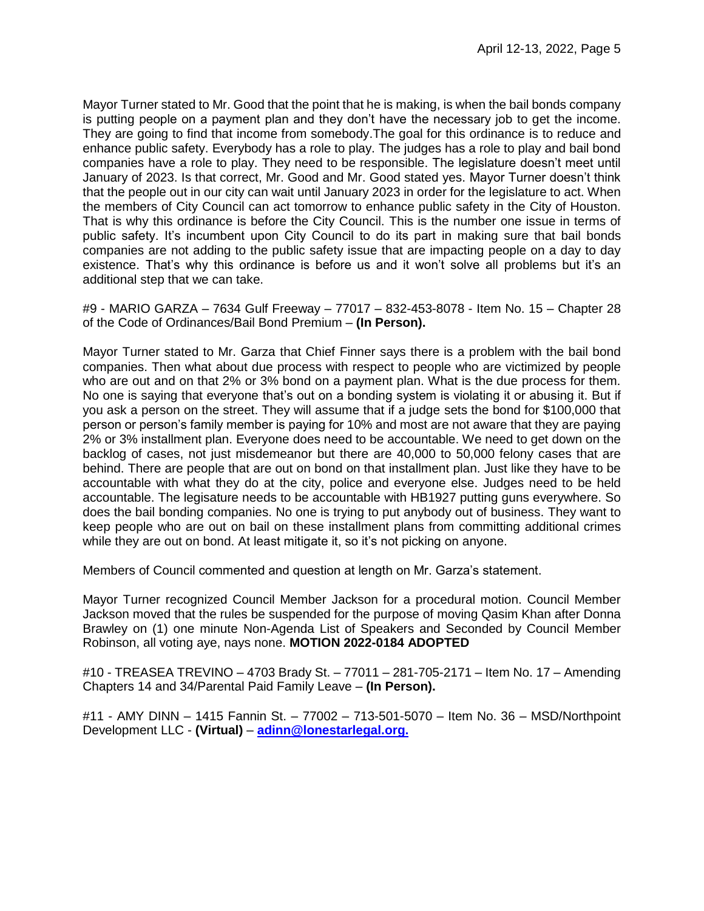Mayor Turner stated to Mr. Good that the point that he is making, is when the bail bonds company is putting people on a payment plan and they don't have the necessary job to get the income. They are going to find that income from somebody.The goal for this ordinance is to reduce and enhance public safety. Everybody has a role to play. The judges has a role to play and bail bond companies have a role to play. They need to be responsible. The legislature doesn't meet until January of 2023. Is that correct, Mr. Good and Mr. Good stated yes. Mayor Turner doesn't think that the people out in our city can wait until January 2023 in order for the legislature to act. When the members of City Council can act tomorrow to enhance public safety in the City of Houston. That is why this ordinance is before the City Council. This is the number one issue in terms of public safety. It's incumbent upon City Council to do its part in making sure that bail bonds companies are not adding to the public safety issue that are impacting people on a day to day existence. That's why this ordinance is before us and it won't solve all problems but it's an additional step that we can take.

#9 - MARIO GARZA – 7634 Gulf Freeway – 77017 – 832-453-8078 - Item No. 15 – Chapter 28 of the Code of Ordinances/Bail Bond Premium – **(In Person).**

Mayor Turner stated to Mr. Garza that Chief Finner says there is a problem with the bail bond companies. Then what about due process with respect to people who are victimized by people who are out and on that 2% or 3% bond on a payment plan. What is the due process for them. No one is saying that everyone that's out on a bonding system is violating it or abusing it. But if you ask a person on the street. They will assume that if a judge sets the bond for \$100,000 that person or person's family member is paying for 10% and most are not aware that they are paying 2% or 3% installment plan. Everyone does need to be accountable. We need to get down on the backlog of cases, not just misdemeanor but there are 40,000 to 50,000 felony cases that are behind. There are people that are out on bond on that installment plan. Just like they have to be accountable with what they do at the city, police and everyone else. Judges need to be held accountable. The legisature needs to be accountable with HB1927 putting guns everywhere. So does the bail bonding companies. No one is trying to put anybody out of business. They want to keep people who are out on bail on these installment plans from committing additional crimes while they are out on bond. At least mitigate it, so it's not picking on anyone.

Members of Council commented and question at length on Mr. Garza's statement.

Mayor Turner recognized Council Member Jackson for a procedural motion. Council Member Jackson moved that the rules be suspended for the purpose of moving Qasim Khan after Donna Brawley on (1) one minute Non-Agenda List of Speakers and Seconded by Council Member Robinson, all voting aye, nays none. **MOTION 2022-0184 ADOPTED** 

#10 - TREASEA TREVINO – 4703 Brady St. – 77011 – 281-705-2171 – Item No. 17 – Amending Chapters 14 and 34/Parental Paid Family Leave – **(In Person).**

#11 - AMY DINN – 1415 Fannin St. – 77002 – 713-501-5070 – Item No. 36 – MSD/Northpoint Development LLC - **(Virtual)** – **[adinn@lonestarlegal.org.](mailto:adinn@lonestarlegal.org)**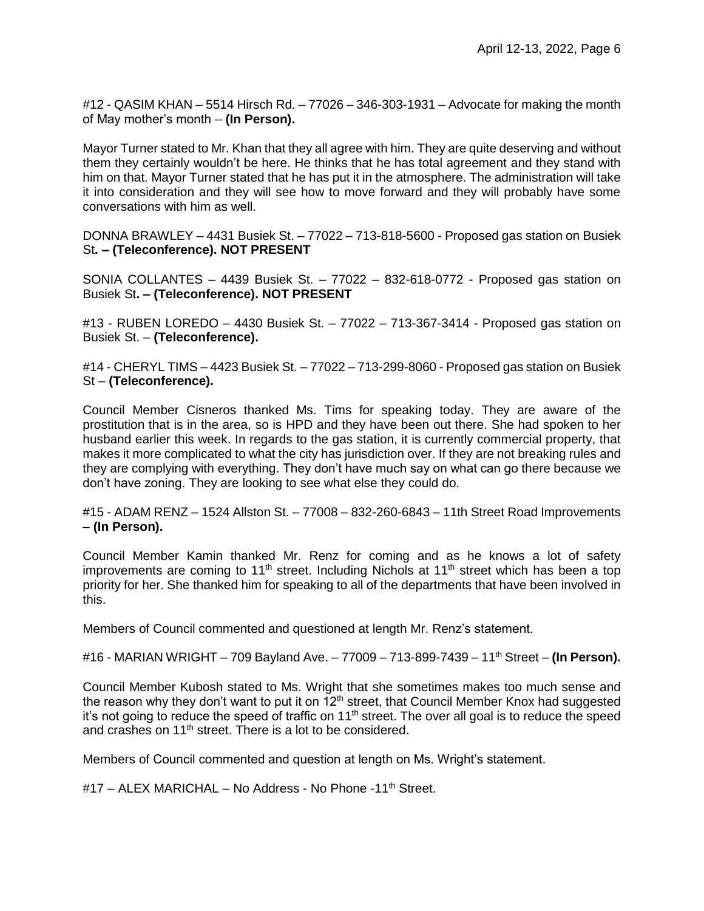#12 - QASIM KHAN – 5514 Hirsch Rd. – 77026 – 346-303-1931 – Advocate for making the month of May mother's month – **(In Person).**

Mayor Turner stated to Mr. Khan that they all agree with him. They are quite deserving and without them they certainly wouldn't be here. He thinks that he has total agreement and they stand with him on that. Mayor Turner stated that he has put it in the atmosphere. The administration will take it into consideration and they will see how to move forward and they will probably have some conversations with him as well.

DONNA BRAWLEY – 4431 Busiek St. – 77022 – 713-818-5600 - Proposed gas station on Busiek St**. – (Teleconference). NOT PRESENT**

SONIA COLLANTES – 4439 Busiek St. – 77022 – 832-618-0772 - Proposed gas station on Busiek St**. – (Teleconference). NOT PRESENT**

#13 - RUBEN LOREDO – 4430 Busiek St. – 77022 – 713-367-3414 - Proposed gas station on Busiek St. – **(Teleconference).**

#14 - CHERYL TIMS – 4423 Busiek St. – 77022 – 713-299-8060 - Proposed gas station on Busiek St – **(Teleconference).**

Council Member Cisneros thanked Ms. Tims for speaking today. They are aware of the prostitution that is in the area, so is HPD and they have been out there. She had spoken to her husband earlier this week. In regards to the gas station, it is currently commercial property, that makes it more complicated to what the city has jurisdiction over. If they are not breaking rules and they are complying with everything. They don't have much say on what can go there because we don't have zoning. They are looking to see what else they could do.

#15 - ADAM RENZ – 1524 Allston St. – 77008 – 832-260-6843 – 11th Street Road Improvements – **(In Person).**

Council Member Kamin thanked Mr. Renz for coming and as he knows a lot of safety improvements are coming to 11<sup>th</sup> street. Including Nichols at 11<sup>th</sup> street which has been a top priority for her. She thanked him for speaking to all of the departments that have been involved in this.

Members of Council commented and questioned at length Mr. Renz's statement.

#16 - MARIAN WRIGHT – 709 Bayland Ave. – 77009 – 713-899-7439 – 11th Street – **(In Person).**

Council Member Kubosh stated to Ms. Wright that she sometimes makes too much sense and the reason why they don't want to put it on  $12<sup>th</sup>$  street, that Council Member Knox had suggested it's not going to reduce the speed of traffic on  $11<sup>th</sup>$  street. The over all goal is to reduce the speed and crashes on 11<sup>th</sup> street. There is a lot to be considered.

Members of Council commented and question at length on Ms. Wright's statement.

#17 – ALEX MARICHAL – No Address - No Phone -11<sup>th</sup> Street.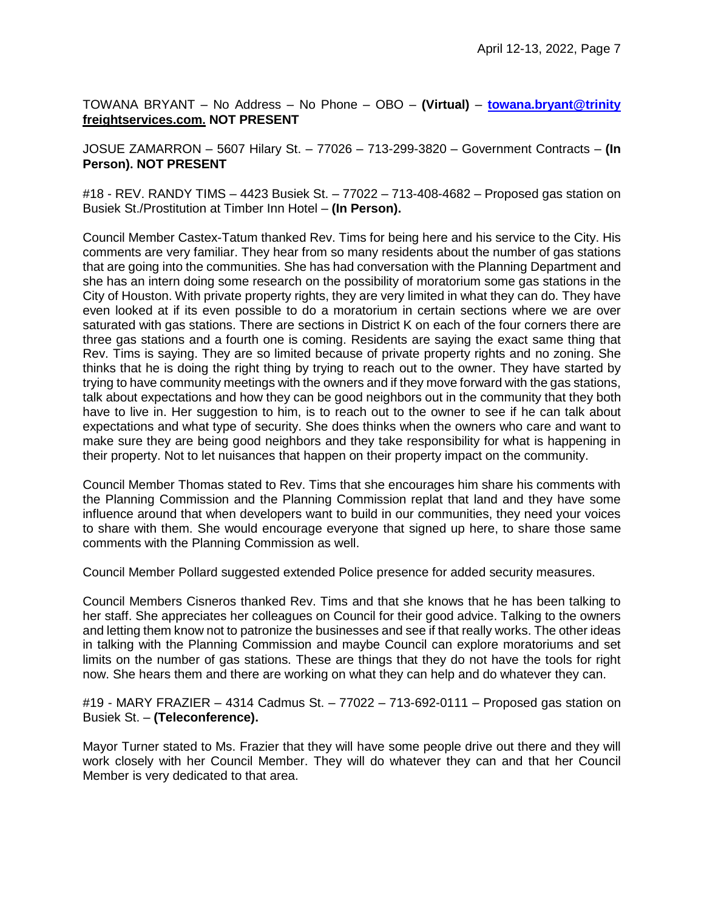TOWANA BRYANT – No Address – No Phone – OBO – **(Virtual)** – **[towana.bryant@trinity](mailto:towana.bryant@trinity) freightservices.com. NOT PRESENT**

JOSUE ZAMARRON – 5607 Hilary St. – 77026 – 713-299-3820 – Government Contracts – **(In Person). NOT PRESENT**

#18 - REV. RANDY TIMS – 4423 Busiek St. – 77022 – 713-408-4682 – Proposed gas station on Busiek St./Prostitution at Timber Inn Hotel – **(In Person).**

Council Member Castex-Tatum thanked Rev. Tims for being here and his service to the City. His comments are very familiar. They hear from so many residents about the number of gas stations that are going into the communities. She has had conversation with the Planning Department and she has an intern doing some research on the possibility of moratorium some gas stations in the City of Houston. With private property rights, they are very limited in what they can do. They have even looked at if its even possible to do a moratorium in certain sections where we are over saturated with gas stations. There are sections in District K on each of the four corners there are three gas stations and a fourth one is coming. Residents are saying the exact same thing that Rev. Tims is saying. They are so limited because of private property rights and no zoning. She thinks that he is doing the right thing by trying to reach out to the owner. They have started by trying to have community meetings with the owners and if they move forward with the gas stations, talk about expectations and how they can be good neighbors out in the community that they both have to live in. Her suggestion to him, is to reach out to the owner to see if he can talk about expectations and what type of security. She does thinks when the owners who care and want to make sure they are being good neighbors and they take responsibility for what is happening in their property. Not to let nuisances that happen on their property impact on the community.

Council Member Thomas stated to Rev. Tims that she encourages him share his comments with the Planning Commission and the Planning Commission replat that land and they have some influence around that when developers want to build in our communities, they need your voices to share with them. She would encourage everyone that signed up here, to share those same comments with the Planning Commission as well.

Council Member Pollard suggested extended Police presence for added security measures.

Council Members Cisneros thanked Rev. Tims and that she knows that he has been talking to her staff. She appreciates her colleagues on Council for their good advice. Talking to the owners and letting them know not to patronize the businesses and see if that really works. The other ideas in talking with the Planning Commission and maybe Council can explore moratoriums and set limits on the number of gas stations. These are things that they do not have the tools for right now. She hears them and there are working on what they can help and do whatever they can.

#19 - MARY FRAZIER – 4314 Cadmus St. – 77022 – 713-692-0111 – Proposed gas station on Busiek St. – **(Teleconference).**

Mayor Turner stated to Ms. Frazier that they will have some people drive out there and they will work closely with her Council Member. They will do whatever they can and that her Council Member is very dedicated to that area.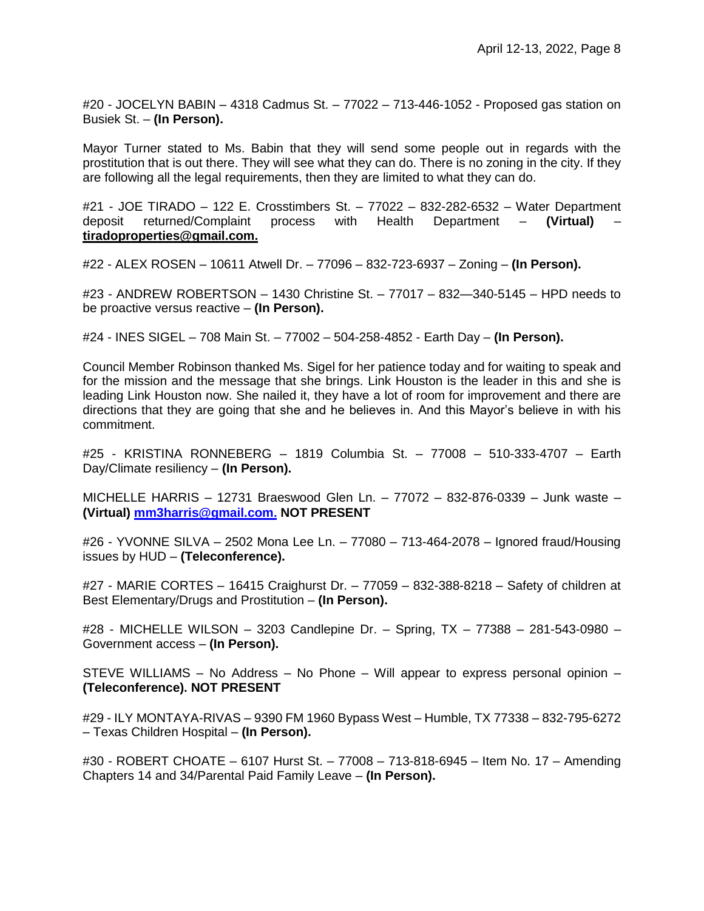#20 - JOCELYN BABIN – 4318 Cadmus St. – 77022 – 713-446-1052 - Proposed gas station on Busiek St. – **(In Person).**

Mayor Turner stated to Ms. Babin that they will send some people out in regards with the prostitution that is out there. They will see what they can do. There is no zoning in the city. If they are following all the legal requirements, then they are limited to what they can do.

#21 - JOE TIRADO – 122 E. Crosstimbers St. – 77022 – 832-282-6532 – Water Department deposit returned/Complaint process with Health Department – **(Virtual)** – **tiradoproperties@gmail.com.**

#22 - ALEX ROSEN – 10611 Atwell Dr. – 77096 – 832-723-6937 – Zoning – **(In Person).**

#23 - ANDREW ROBERTSON – 1430 Christine St. – 77017 – 832—340-5145 – HPD needs to be proactive versus reactive – **(In Person).**

#24 - INES SIGEL – 708 Main St. – 77002 – 504-258-4852 - Earth Day – **(In Person).**

Council Member Robinson thanked Ms. Sigel for her patience today and for waiting to speak and for the mission and the message that she brings. Link Houston is the leader in this and she is leading Link Houston now. She nailed it, they have a lot of room for improvement and there are directions that they are going that she and he believes in. And this Mayor's believe in with his commitment.

#25 - KRISTINA RONNEBERG – 1819 Columbia St. – 77008 – 510-333-4707 – Earth Day/Climate resiliency – **(In Person).**

MICHELLE HARRIS – 12731 Braeswood Glen Ln. – 77072 – 832-876-0339 – Junk waste – **(Virtual) [mm3harris@gmail.com](mailto:mm3harris@gmail.com). NOT PRESENT**

#26 - YVONNE SILVA – 2502 Mona Lee Ln. – 77080 – 713-464-2078 – Ignored fraud/Housing issues by HUD – **(Teleconference).**

#27 - MARIE CORTES – 16415 Craighurst Dr. – 77059 – 832-388-8218 – Safety of children at Best Elementary/Drugs and Prostitution – **(In Person).**

#28 - MICHELLE WILSON – 3203 Candlepine Dr. – Spring, TX – 77388 – 281-543-0980 – Government access – **(In Person).**

STEVE WILLIAMS – No Address – No Phone – Will appear to express personal opinion – **(Teleconference). NOT PRESENT**

#29 - ILY MONTAYA-RIVAS – 9390 FM 1960 Bypass West – Humble, TX 77338 – 832-795-6272 – Texas Children Hospital – **(In Person).**

#30 - ROBERT CHOATE – 6107 Hurst St. – 77008 – 713-818-6945 – Item No. 17 – Amending Chapters 14 and 34/Parental Paid Family Leave – **(In Person).**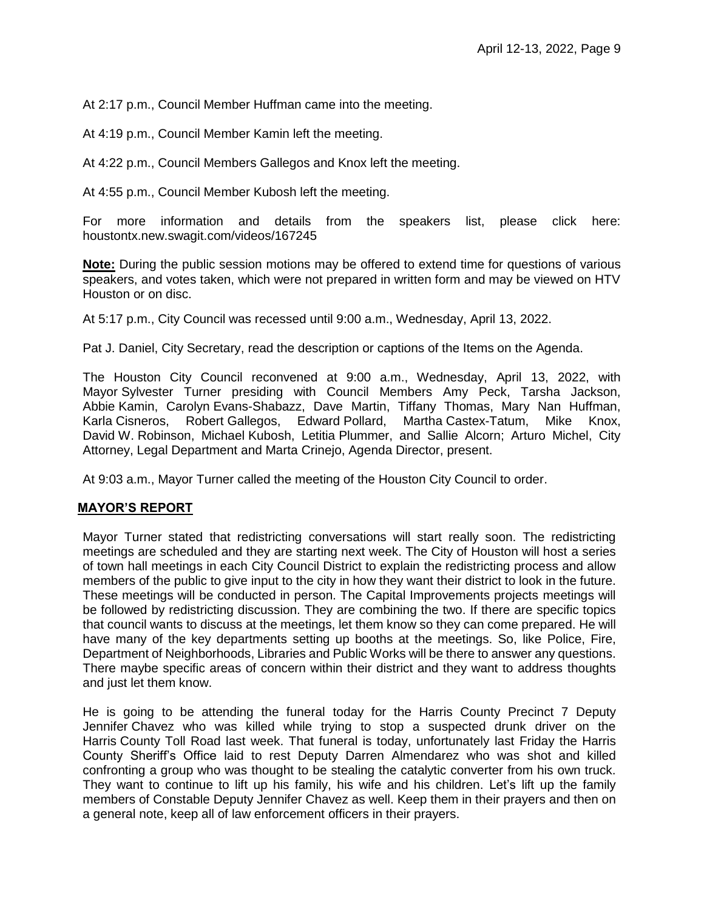At 2:17 p.m., Council Member Huffman came into the meeting.

At 4:19 p.m., Council Member Kamin left the meeting.

At 4:22 p.m., Council Members Gallegos and Knox left the meeting.

At 4:55 p.m., Council Member Kubosh left the meeting.

For more information and details from the speakers list, please click here: houstontx.new.swagit.com/videos/167245

**Note:** During the public session motions may be offered to extend time for questions of various speakers, and votes taken, which were not prepared in written form and may be viewed on HTV Houston or on disc.

At 5:17 p.m., City Council was recessed until 9:00 a.m., Wednesday, April 13, 2022.

Pat J. Daniel, City Secretary, read the description or captions of the Items on the Agenda.

The Houston City Council reconvened at 9:00 a.m., Wednesday, April 13, 2022, with Mayor Sylvester Turner presiding with Council Members Amy Peck, Tarsha Jackson, Abbie Kamin, Carolyn Evans-Shabazz, Dave Martin, Tiffany Thomas, Mary Nan Huffman, Karla Cisneros, Robert Gallegos, Edward Pollard, Martha Castex-Tatum, Mike Knox, David W. Robinson, Michael Kubosh, Letitia Plummer, and Sallie Alcorn; Arturo Michel, City Attorney, Legal Department and Marta Crinejo, Agenda Director, present.

At 9:03 a.m., Mayor Turner called the meeting of the Houston City Council to order.

## **MAYOR'S REPORT**

Mayor Turner stated that redistricting conversations will start really soon. The redistricting meetings are scheduled and they are starting next week. The City of Houston will host a series of town hall meetings in each City Council District to explain the redistricting process and allow members of the public to give input to the city in how they want their district to look in the future. These meetings will be conducted in person. The Capital Improvements projects meetings will be followed by redistricting discussion. They are combining the two. If there are specific topics that council wants to discuss at the meetings, let them know so they can come prepared. He will have many of the key departments setting up booths at the meetings. So, like Police, Fire, Department of Neighborhoods, Libraries and Public Works will be there to answer any questions. There maybe specific areas of concern within their district and they want to address thoughts and just let them know.

He is going to be attending the funeral today for the Harris County Precinct 7 Deputy Jennifer Chavez who was killed while trying to stop a suspected drunk driver on the Harris County Toll Road last week. That funeral is today, unfortunately last Friday the Harris County Sheriff's Office laid to rest Deputy Darren Almendarez who was shot and killed confronting a group who was thought to be stealing the catalytic converter from his own truck. They want to continue to lift up his family, his wife and his children. Let's lift up the family members of Constable Deputy Jennifer Chavez as well. Keep them in their prayers and then on a general note, keep all of law enforcement officers in their prayers.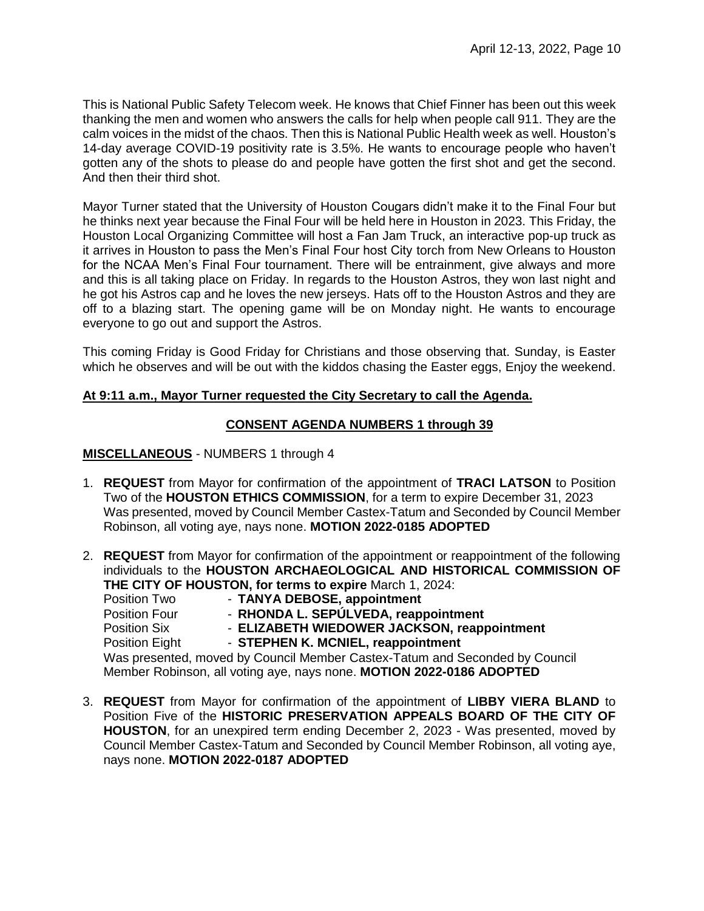This is National Public Safety Telecom week. He knows that Chief Finner has been out this week thanking the men and women who answers the calls for help when people call 911. They are the calm voices in the midst of the chaos. Then this is National Public Health week as well. Houston's 14-day average COVID-19 positivity rate is 3.5%. He wants to encourage people who haven't gotten any of the shots to please do and people have gotten the first shot and get the second. And then their third shot.

Mayor Turner stated that the University of Houston Cougars didn't make it to the Final Four but he thinks next year because the Final Four will be held here in Houston in 2023. This Friday, the Houston Local Organizing Committee will host a Fan Jam Truck, an interactive pop-up truck as it arrives in Houston to pass the Men's Final Four host City torch from New Orleans to Houston for the NCAA Men's Final Four tournament. There will be entrainment, give always and more and this is all taking place on Friday. In regards to the Houston Astros, they won last night and he got his Astros cap and he loves the new jerseys. Hats off to the Houston Astros and they are off to a blazing start. The opening game will be on Monday night. He wants to encourage everyone to go out and support the Astros.

This coming Friday is Good Friday for Christians and those observing that. Sunday, is Easter which he observes and will be out with the kiddos chasing the Easter eggs, Enjoy the weekend.

## **At 9:11 a.m., Mayor Turner requested the City Secretary to call the Agenda.**

## **CONSENT AGENDA NUMBERS 1 through 39**

## **MISCELLANEOUS** - NUMBERS 1 through 4

- 1. **REQUEST** from Mayor for confirmation of the appointment of **TRACI LATSON** to Position Two of the **HOUSTON ETHICS COMMISSION**, for a term to expire December 31, 2023 Was presented, moved by Council Member Castex-Tatum and Seconded by Council Member Robinson, all voting aye, nays none. **MOTION 2022-0185 ADOPTED**
- 2. **REQUEST** from Mayor for confirmation of the appointment or reappointment of the following individuals to the **HOUSTON ARCHAEOLOGICAL AND HISTORICAL COMMISSION OF THE CITY OF HOUSTON, for terms to expire** March 1, 2024:

Position Two - **TANYA DEBOSE, appointment** Position Four - **RHONDA L. SEPÚLVEDA, reappointment** Position Six - **ELIZABETH WIEDOWER JACKSON, reappointment** Position Eight - **STEPHEN K. MCNIEL, reappointment** Was presented, moved by Council Member Castex-Tatum and Seconded by Council Member Robinson, all voting aye, nays none. **MOTION 2022-0186 ADOPTED** 

3. **REQUEST** from Mayor for confirmation of the appointment of **LIBBY VIERA BLAND** to Position Five of the **HISTORIC PRESERVATION APPEALS BOARD OF THE CITY OF HOUSTON**, for an unexpired term ending December 2, 2023 - Was presented, moved by Council Member Castex-Tatum and Seconded by Council Member Robinson, all voting aye, nays none. **MOTION 2022-0187 ADOPTED**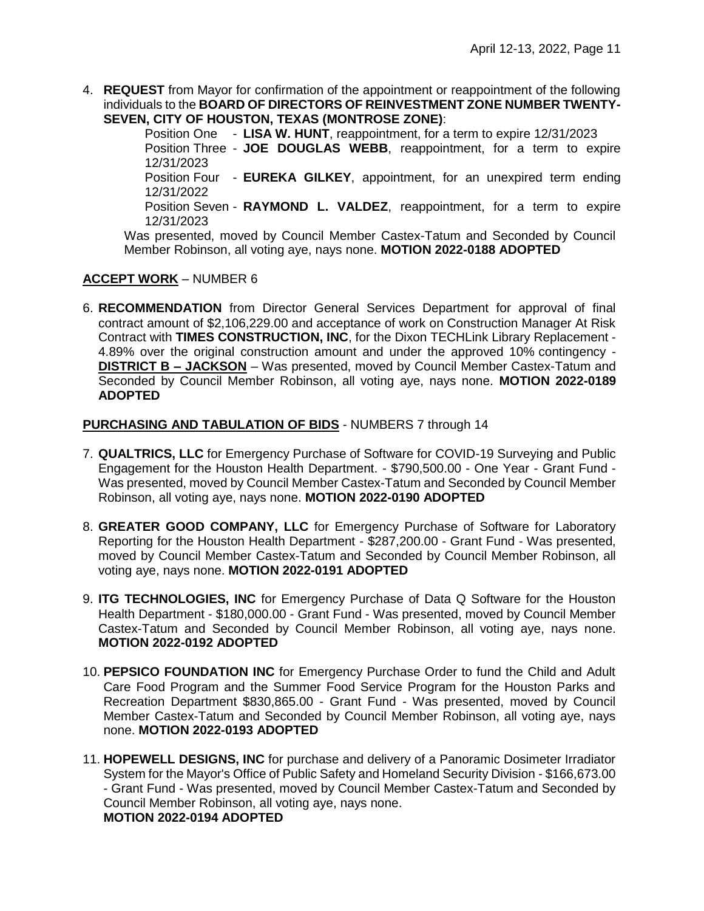4. **REQUEST** from Mayor for confirmation of the appointment or reappointment of the following individuals to the **BOARD OF DIRECTORS OF REINVESTMENT ZONE NUMBER TWENTY-SEVEN, CITY OF HOUSTON, TEXAS (MONTROSE ZONE)**:

> Position One - **LISA W. HUNT**, reappointment, for a term to expire 12/31/2023 Position Three - **JOE DOUGLAS WEBB**, reappointment, for a term to expire 12/31/2023 Position Four - **EUREKA GILKEY**, appointment, for an unexpired term ending 12/31/2022 Position Seven - **RAYMOND L. VALDEZ**, reappointment, for a term to expire 12/31/2023

Was presented, moved by Council Member Castex-Tatum and Seconded by Council Member Robinson, all voting aye, nays none. **MOTION 2022-0188 ADOPTED** 

# **ACCEPT WORK** – NUMBER 6

6. **RECOMMENDATION** from Director General Services Department for approval of final contract amount of \$2,106,229.00 and acceptance of work on Construction Manager At Risk Contract with **TIMES CONSTRUCTION, INC**, for the Dixon TECHLink Library Replacement - 4.89% over the original construction amount and under the approved 10% contingency - **DISTRICT B – JACKSON** – Was presented, moved by Council Member Castex-Tatum and Seconded by Council Member Robinson, all voting aye, nays none. **MOTION 2022-0189 ADOPTED**

# **PURCHASING AND TABULATION OF BIDS** - NUMBERS 7 through 14

- 7. **QUALTRICS, LLC** for Emergency Purchase of Software for COVID-19 Surveying and Public Engagement for the Houston Health Department. - \$790,500.00 - One Year - Grant Fund - Was presented, moved by Council Member Castex-Tatum and Seconded by Council Member Robinson, all voting aye, nays none. **MOTION 2022-0190 ADOPTED**
- 8. **GREATER GOOD COMPANY, LLC** for Emergency Purchase of Software for Laboratory Reporting for the Houston Health Department - \$287,200.00 - Grant Fund - Was presented, moved by Council Member Castex-Tatum and Seconded by Council Member Robinson, all voting aye, nays none. **MOTION 2022-0191 ADOPTED**
- 9. **ITG TECHNOLOGIES, INC** for Emergency Purchase of Data Q Software for the Houston Health Department - \$180,000.00 - Grant Fund - Was presented, moved by Council Member Castex-Tatum and Seconded by Council Member Robinson, all voting aye, nays none. **MOTION 2022-0192 ADOPTED**
- 10. **PEPSICO FOUNDATION INC** for Emergency Purchase Order to fund the Child and Adult Care Food Program and the Summer Food Service Program for the Houston Parks and Recreation Department \$830,865.00 - Grant Fund - Was presented, moved by Council Member Castex-Tatum and Seconded by Council Member Robinson, all voting aye, nays none. **MOTION 2022-0193 ADOPTED**
- 11. **HOPEWELL DESIGNS, INC** for purchase and delivery of a Panoramic Dosimeter Irradiator System for the Mayor's Office of Public Safety and Homeland Security Division - \$166,673.00 - Grant Fund - Was presented, moved by Council Member Castex-Tatum and Seconded by Council Member Robinson, all voting aye, nays none. **MOTION 2022-0194 ADOPTED**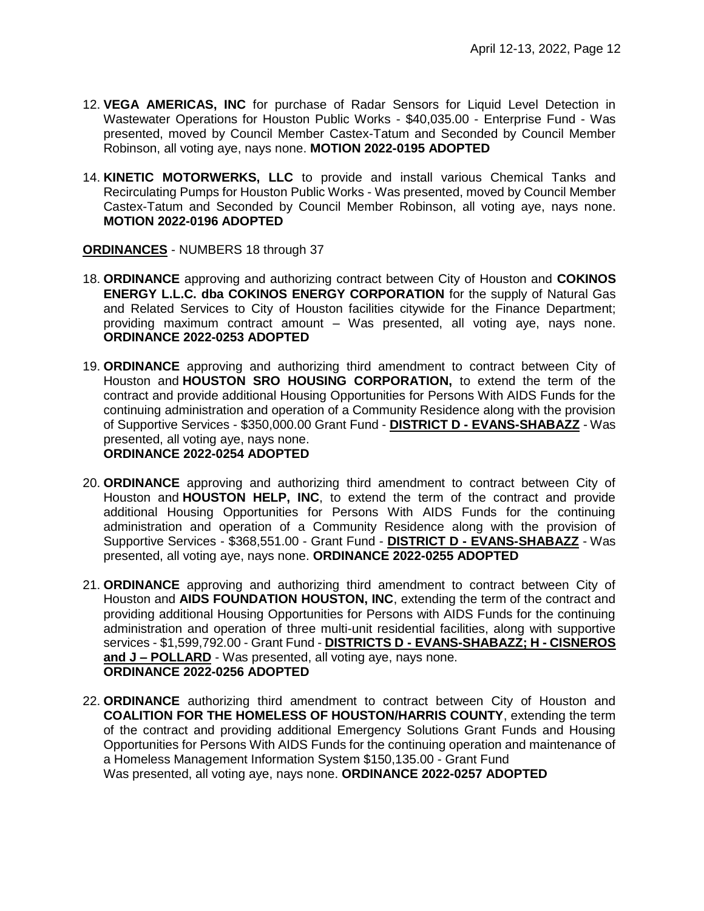- 12. **VEGA AMERICAS, INC** for purchase of Radar Sensors for Liquid Level Detection in Wastewater Operations for Houston Public Works - \$40,035.00 - Enterprise Fund - Was presented, moved by Council Member Castex-Tatum and Seconded by Council Member Robinson, all voting aye, nays none. **MOTION 2022-0195 ADOPTED**
- 14. **KINETIC MOTORWERKS, LLC** to provide and install various Chemical Tanks and Recirculating Pumps for Houston Public Works - Was presented, moved by Council Member Castex-Tatum and Seconded by Council Member Robinson, all voting aye, nays none. **MOTION 2022-0196 ADOPTED**

**ORDINANCES** - NUMBERS 18 through 37

- 18. **ORDINANCE** approving and authorizing contract between City of Houston and **COKINOS ENERGY L.L.C. dba COKINOS ENERGY CORPORATION** for the supply of Natural Gas and Related Services to City of Houston facilities citywide for the Finance Department; providing maximum contract amount – Was presented, all voting aye, nays none. **ORDINANCE 2022-0253 ADOPTED**
- 19. **ORDINANCE** approving and authorizing third amendment to contract between City of Houston and **HOUSTON SRO HOUSING CORPORATION,** to extend the term of the contract and provide additional Housing Opportunities for Persons With AIDS Funds for the continuing administration and operation of a Community Residence along with the provision of Supportive Services - \$350,000.00 Grant Fund - **DISTRICT D - EVANS-SHABAZZ** - Was presented, all voting aye, nays none. **ORDINANCE 2022-0254 ADOPTED**
- 20. **ORDINANCE** approving and authorizing third amendment to contract between City of Houston and **HOUSTON HELP, INC**, to extend the term of the contract and provide additional Housing Opportunities for Persons With AIDS Funds for the continuing administration and operation of a Community Residence along with the provision of Supportive Services - \$368,551.00 - Grant Fund - **DISTRICT D - EVANS-SHABAZZ** - Was presented, all voting aye, nays none. **ORDINANCE 2022-0255 ADOPTED**
- 21. **ORDINANCE** approving and authorizing third amendment to contract between City of Houston and **AIDS FOUNDATION HOUSTON, INC**, extending the term of the contract and providing additional Housing Opportunities for Persons with AIDS Funds for the continuing administration and operation of three multi-unit residential facilities, along with supportive services - \$1,599,792.00 - Grant Fund - **DISTRICTS D - EVANS-SHABAZZ; H - CISNEROS and J – POLLARD** - Was presented, all voting aye, nays none. **ORDINANCE 2022-0256 ADOPTED**
- 22. **ORDINANCE** authorizing third amendment to contract between City of Houston and **COALITION FOR THE HOMELESS OF HOUSTON/HARRIS COUNTY**, extending the term of the contract and providing additional Emergency Solutions Grant Funds and Housing Opportunities for Persons With AIDS Funds for the continuing operation and maintenance of a Homeless Management Information System \$150,135.00 - Grant Fund Was presented, all voting aye, nays none. **ORDINANCE 2022-0257 ADOPTED**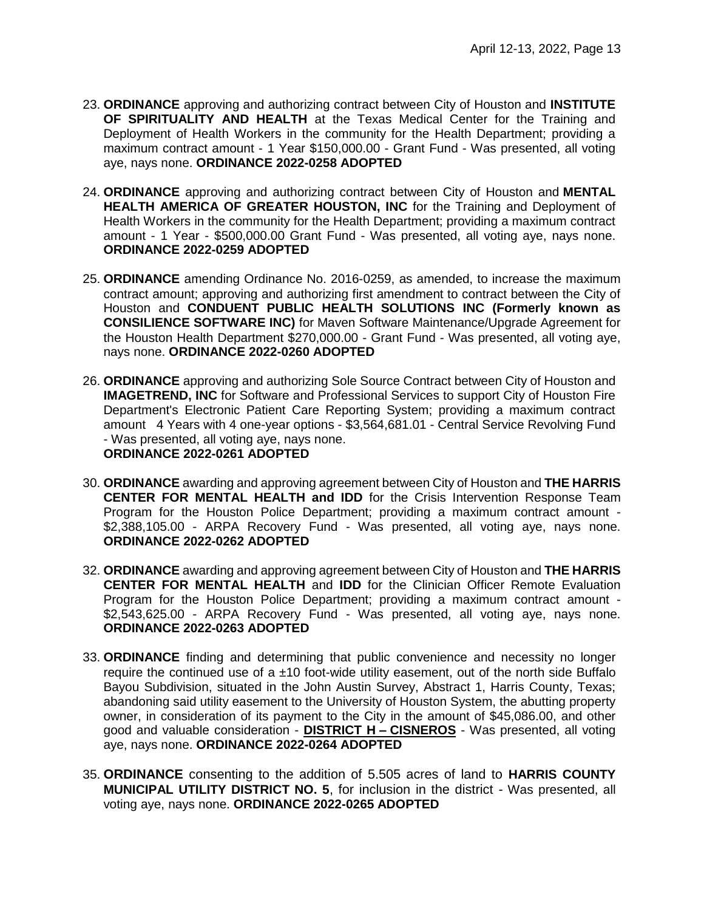- 23. **ORDINANCE** approving and authorizing contract between City of Houston and **INSTITUTE OF SPIRITUALITY AND HEALTH** at the Texas Medical Center for the Training and Deployment of Health Workers in the community for the Health Department; providing a maximum contract amount - 1 Year \$150,000.00 - Grant Fund - Was presented, all voting aye, nays none. **ORDINANCE 2022-0258 ADOPTED**
- 24. **ORDINANCE** approving and authorizing contract between City of Houston and **MENTAL HEALTH AMERICA OF GREATER HOUSTON, INC** for the Training and Deployment of Health Workers in the community for the Health Department; providing a maximum contract amount - 1 Year - \$500,000.00 Grant Fund - Was presented, all voting aye, nays none. **ORDINANCE 2022-0259 ADOPTED**
- 25. **ORDINANCE** amending Ordinance No. 2016-0259, as amended, to increase the maximum contract amount; approving and authorizing first amendment to contract between the City of Houston and **CONDUENT PUBLIC HEALTH SOLUTIONS INC (Formerly known as CONSILIENCE SOFTWARE INC)** for Maven Software Maintenance/Upgrade Agreement for the Houston Health Department \$270,000.00 - Grant Fund - Was presented, all voting aye, nays none. **ORDINANCE 2022-0260 ADOPTED**
- 26. **ORDINANCE** approving and authorizing Sole Source Contract between City of Houston and **IMAGETREND, INC** for Software and Professional Services to support City of Houston Fire Department's Electronic Patient Care Reporting System; providing a maximum contract amount 4 Years with 4 one-year options - \$3,564,681.01 - Central Service Revolving Fund - Was presented, all voting aye, nays none. **ORDINANCE 2022-0261 ADOPTED**
- 30. **ORDINANCE** awarding and approving agreement between City of Houston and **THE HARRIS CENTER FOR MENTAL HEALTH and IDD** for the Crisis Intervention Response Team Program for the Houston Police Department; providing a maximum contract amount - \$2,388,105.00 - ARPA Recovery Fund - Was presented, all voting aye, nays none. **ORDINANCE 2022-0262 ADOPTED**
- 32. **ORDINANCE** awarding and approving agreement between City of Houston and **THE HARRIS CENTER FOR MENTAL HEALTH** and **IDD** for the Clinician Officer Remote Evaluation Program for the Houston Police Department; providing a maximum contract amount - \$2,543,625.00 - ARPA Recovery Fund - Was presented, all voting aye, nays none. **ORDINANCE 2022-0263 ADOPTED**
- 33. **ORDINANCE** finding and determining that public convenience and necessity no longer require the continued use of a  $\pm$ 10 foot-wide utility easement, out of the north side Buffalo Bayou Subdivision, situated in the John Austin Survey, Abstract 1, Harris County, Texas; abandoning said utility easement to the University of Houston System, the abutting property owner, in consideration of its payment to the City in the amount of \$45,086.00, and other good and valuable consideration - **DISTRICT H – CISNEROS** - Was presented, all voting aye, nays none. **ORDINANCE 2022-0264 ADOPTED**
- 35. **ORDINANCE** consenting to the addition of 5.505 acres of land to **HARRIS COUNTY MUNICIPAL UTILITY DISTRICT NO. 5**, for inclusion in the district - Was presented, all voting aye, nays none. **ORDINANCE 2022-0265 ADOPTED**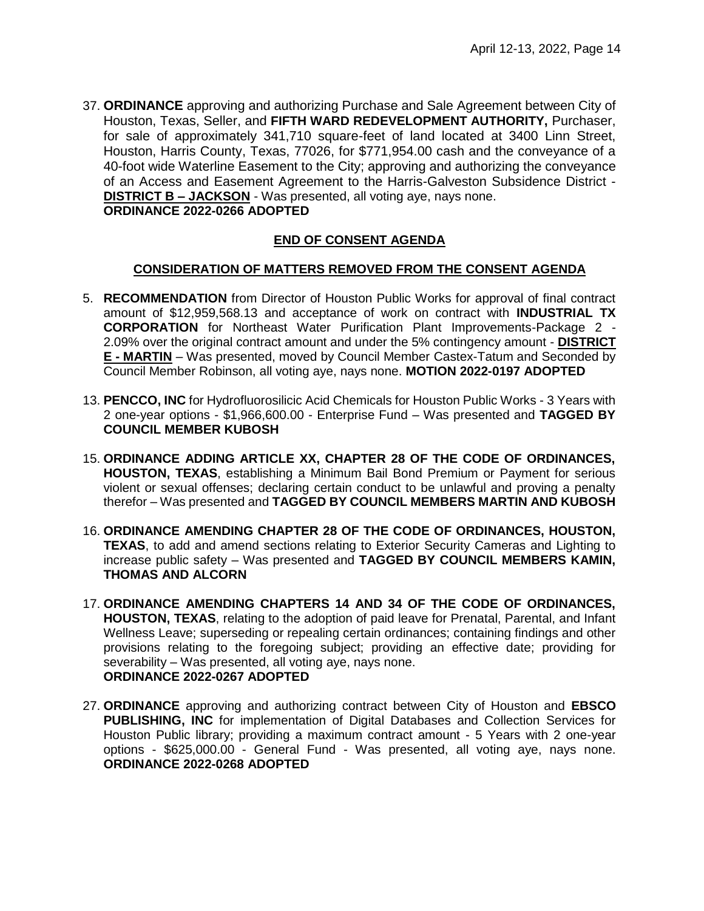37. **ORDINANCE** approving and authorizing Purchase and Sale Agreement between City of Houston, Texas, Seller, and **FIFTH WARD REDEVELOPMENT AUTHORITY,** Purchaser, for sale of approximately 341,710 square-feet of land located at 3400 Linn Street, Houston, Harris County, Texas, 77026, for \$771,954.00 cash and the conveyance of a 40-foot wide Waterline Easement to the City; approving and authorizing the conveyance of an Access and Easement Agreement to the Harris-Galveston Subsidence District - **DISTRICT B – JACKSON** - Was presented, all voting aye, nays none. **ORDINANCE 2022-0266 ADOPTED** 

# **END OF CONSENT AGENDA**

#### **CONSIDERATION OF MATTERS REMOVED FROM THE CONSENT AGENDA**

- 5. **RECOMMENDATION** from Director of Houston Public Works for approval of final contract amount of \$12,959,568.13 and acceptance of work on contract with **INDUSTRIAL TX CORPORATION** for Northeast Water Purification Plant Improvements-Package 2 - 2.09% over the original contract amount and under the 5% contingency amount - **DISTRICT E - MARTIN** – Was presented, moved by Council Member Castex-Tatum and Seconded by Council Member Robinson, all voting aye, nays none. **MOTION 2022-0197 ADOPTED**
- 13. **PENCCO, INC** for Hydrofluorosilicic Acid Chemicals for Houston Public Works 3 Years with 2 one-year options - \$1,966,600.00 - Enterprise Fund – Was presented and **TAGGED BY COUNCIL MEMBER KUBOSH**
- 15. **ORDINANCE ADDING ARTICLE XX, CHAPTER 28 OF THE CODE OF ORDINANCES, HOUSTON, TEXAS**, establishing a Minimum Bail Bond Premium or Payment for serious violent or sexual offenses; declaring certain conduct to be unlawful and proving a penalty therefor – Was presented and **TAGGED BY COUNCIL MEMBERS MARTIN AND KUBOSH**
- 16. **ORDINANCE AMENDING CHAPTER 28 OF THE CODE OF ORDINANCES, HOUSTON, TEXAS**, to add and amend sections relating to Exterior Security Cameras and Lighting to increase public safety – Was presented and **TAGGED BY COUNCIL MEMBERS KAMIN, THOMAS AND ALCORN**
- 17. **ORDINANCE AMENDING CHAPTERS 14 AND 34 OF THE CODE OF ORDINANCES, HOUSTON, TEXAS**, relating to the adoption of paid leave for Prenatal, Parental, and Infant Wellness Leave; superseding or repealing certain ordinances; containing findings and other provisions relating to the foregoing subject; providing an effective date; providing for severability – Was presented, all voting aye, nays none. **ORDINANCE 2022-0267 ADOPTED**
- 27. **ORDINANCE** approving and authorizing contract between City of Houston and **EBSCO PUBLISHING, INC** for implementation of Digital Databases and Collection Services for Houston Public library; providing a maximum contract amount - 5 Years with 2 one-year options - \$625,000.00 - General Fund - Was presented, all voting aye, nays none. **ORDINANCE 2022-0268 ADOPTED**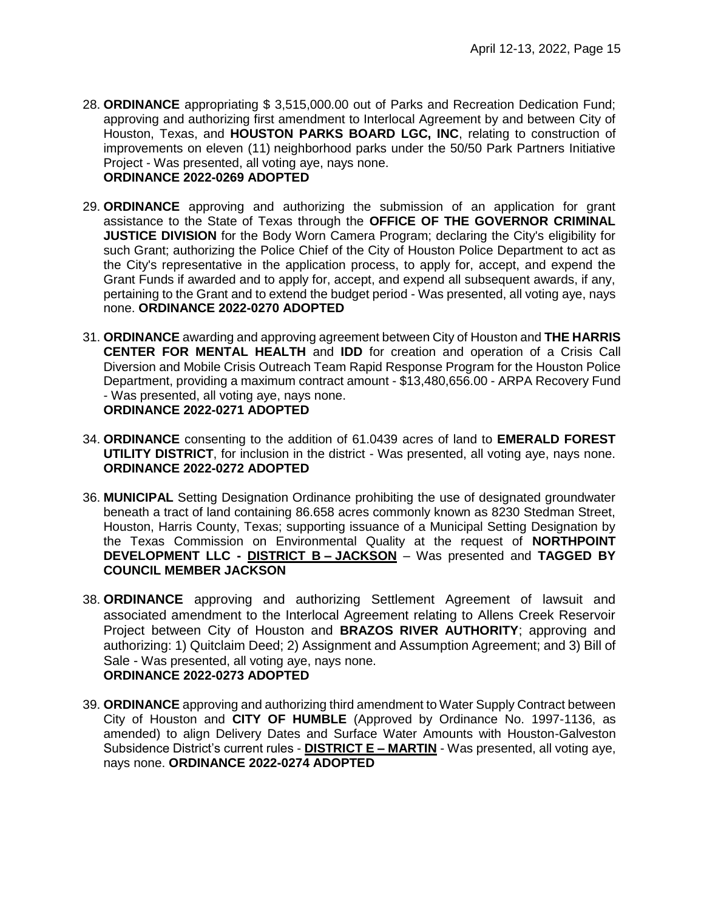- 28. **ORDINANCE** appropriating \$ 3,515,000.00 out of Parks and Recreation Dedication Fund; approving and authorizing first amendment to Interlocal Agreement by and between City of Houston, Texas, and **HOUSTON PARKS BOARD LGC, INC**, relating to construction of improvements on eleven (11) neighborhood parks under the 50/50 Park Partners Initiative Project - Was presented, all voting aye, nays none. **ORDINANCE 2022-0269 ADOPTED**
- 29. **ORDINANCE** approving and authorizing the submission of an application for grant assistance to the State of Texas through the **OFFICE OF THE GOVERNOR CRIMINAL JUSTICE DIVISION** for the Body Worn Camera Program; declaring the City's eligibility for such Grant; authorizing the Police Chief of the City of Houston Police Department to act as the City's representative in the application process, to apply for, accept, and expend the Grant Funds if awarded and to apply for, accept, and expend all subsequent awards, if any, pertaining to the Grant and to extend the budget period - Was presented, all voting aye, nays none. **ORDINANCE 2022-0270 ADOPTED**
- 31. **ORDINANCE** awarding and approving agreement between City of Houston and **THE HARRIS CENTER FOR MENTAL HEALTH** and **IDD** for creation and operation of a Crisis Call Diversion and Mobile Crisis Outreach Team Rapid Response Program for the Houston Police Department, providing a maximum contract amount - \$13,480,656.00 - ARPA Recovery Fund - Was presented, all voting aye, nays none. **ORDINANCE 2022-0271 ADOPTED**
- 34. **ORDINANCE** consenting to the addition of 61.0439 acres of land to **EMERALD FOREST UTILITY DISTRICT**, for inclusion in the district - Was presented, all voting aye, nays none. **ORDINANCE 2022-0272 ADOPTED**
- 36. **MUNICIPAL** Setting Designation Ordinance prohibiting the use of designated groundwater beneath a tract of land containing 86.658 acres commonly known as 8230 Stedman Street, Houston, Harris County, Texas; supporting issuance of a Municipal Setting Designation by the Texas Commission on Environmental Quality at the request of **NORTHPOINT DEVELOPMENT LLC - DISTRICT B – JACKSON** – Was presented and **TAGGED BY COUNCIL MEMBER JACKSON**
- 38. **ORDINANCE** approving and authorizing Settlement Agreement of lawsuit and associated amendment to the Interlocal Agreement relating to Allens Creek Reservoir Project between City of Houston and **BRAZOS RIVER AUTHORITY**; approving and authorizing: 1) Quitclaim Deed; 2) Assignment and Assumption Agreement; and 3) Bill of Sale - Was presented, all voting aye, nays none. **ORDINANCE 2022-0273 ADOPTED**
- 39. **ORDINANCE** approving and authorizing third amendment to Water Supply Contract between City of Houston and **CITY OF HUMBLE** (Approved by Ordinance No. 1997-1136, as amended) to align Delivery Dates and Surface Water Amounts with Houston-Galveston Subsidence District's current rules - **DISTRICT E – MARTIN** - Was presented, all voting aye, nays none. **ORDINANCE 2022-0274 ADOPTED**